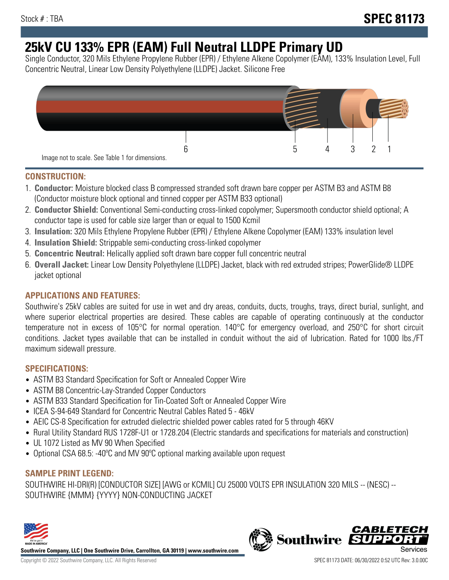# **25kV CU 133% EPR (EAM) Full Neutral LLDPE Primary UD**

Single Conductor, 320 Mils Ethylene Propylene Rubber (EPR) / Ethylene Alkene Copolymer (EAM), 133% Insulation Level, Full Concentric Neutral, Linear Low Density Polyethylene (LLDPE) Jacket. Silicone Free



## **CONSTRUCTION:**

- 1. **Conductor:** Moisture blocked class B compressed stranded soft drawn bare copper per ASTM B3 and ASTM B8 (Conductor moisture block optional and tinned copper per ASTM B33 optional)
- 2. **Conductor Shield:** Conventional Semi-conducting cross-linked copolymer; Supersmooth conductor shield optional; A conductor tape is used for cable size larger than or equal to 1500 Kcmil
- 3. **Insulation:** 320 Mils Ethylene Propylene Rubber (EPR) / Ethylene Alkene Copolymer (EAM) 133% insulation level
- 4. **Insulation Shield:** Strippable semi-conducting cross-linked copolymer
- 5. **Concentric Neutral:** Helically applied soft drawn bare copper full concentric neutral
- 6. **Overall Jacket:** Linear Low Density Polyethylene (LLDPE) Jacket, black with red extruded stripes; PowerGlide® LLDPE jacket optional

# **APPLICATIONS AND FEATURES:**

Southwire's 25kV cables are suited for use in wet and dry areas, conduits, ducts, troughs, trays, direct burial, sunlight, and where superior electrical properties are desired. These cables are capable of operating continuously at the conductor temperature not in excess of 105°C for normal operation. 140°C for emergency overload, and 250°C for short circuit conditions. Jacket types available that can be installed in conduit without the aid of lubrication. Rated for 1000 lbs./FT maximum sidewall pressure.

# **SPECIFICATIONS:**

- ASTM B3 Standard Specification for Soft or Annealed Copper Wire
- ASTM B8 Concentric-Lay-Stranded Copper Conductors
- ASTM B33 Standard Specification for Tin-Coated Soft or Annealed Copper Wire
- ICEA S-94-649 Standard for Concentric Neutral Cables Rated 5 46kV
- AEIC CS-8 Specification for extruded dielectric shielded power cables rated for 5 through 46KV
- Rural Utility Standard RUS 1728F-U1 or 1728.204 (Electric standards and specifications for materials and construction)
- UL 1072 Listed as MV 90 When Specified
- Optional CSA 68.5: -40°C and MV 90°C optional marking available upon request

# **SAMPLE PRINT LEGEND:**

SOUTHWIRE HI-DRI(R) [CONDUCTOR SIZE] [AWG or KCMIL] CU 25000 VOLTS EPR INSULATION 320 MILS -- (NESC) -- SOUTHWIRE {MMM} {YYYY} NON-CONDUCTING JACKET



**Southwire Company, LLC | One Southwire Drive, Carrollton, GA 30119 | www.southwire.com**